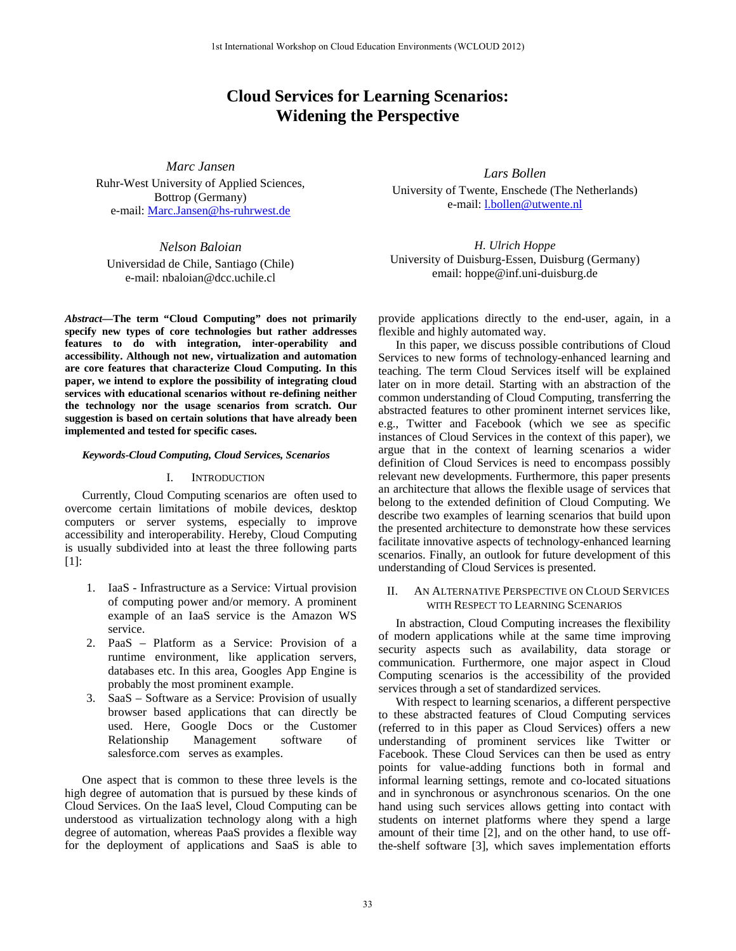# **Cloud Services for Learning Scenarios: Widening the Perspective**

*Marc Jansen* Ruhr-West University of Applied Sciences, Bottrop (Germany) e-mail: [Marc.Jansen@hs-ruhrwest.de](mailto:Marc.Jansen@hs-ruhrwest.de)

*Nelson Baloian* Universidad de Chile, Santiago (Chile) e-mail: nbaloian@dcc.uchile.cl

*Abstract***—The term "Cloud Computing" does not primarily specify new types of core technologies but rather addresses features to do with integration, inter-operability and accessibility. Although not new, virtualization and automation are core features that characterize Cloud Computing. In this paper, we intend to explore the possibility of integrating cloud services with educational scenarios without re-defining neither the technology nor the usage scenarios from scratch. Our suggestion is based on certain solutions that have already been implemented and tested for specific cases.**

## *Keywords-Cloud Computing, Cloud Services, Scenarios*

### I. INTRODUCTION

Currently, Cloud Computing scenarios are often used to overcome certain limitations of mobile devices, desktop computers or server systems, especially to improve accessibility and interoperability. Hereby, Cloud Computing is usually subdivided into at least the three following parts [1]:

- 1. IaaS Infrastructure as a Service: Virtual provision of computing power and/or memory. A prominent example of an IaaS service is the Amazon WS service.
- 2. PaaS Platform as a Service: Provision of a runtime environment, like application servers, databases etc. In this area, Googles App Engine is probably the most prominent example.
- 3. SaaS Software as a Service: Provision of usually browser based applications that can directly be used. Here, Google Docs or the Customer Relationship Management software of salesforce.com serves as examples.

One aspect that is common to these three levels is the high degree of automation that is pursued by these kinds of Cloud Services. On the IaaS level, Cloud Computing can be understood as virtualization technology along with a high degree of automation, whereas PaaS provides a flexible way for the deployment of applications and SaaS is able to

*Lars Bollen* University of Twente, Enschede (The Netherlands) e-mail: [l.bollen@utwente.nl](mailto:l.bollen@utwente.nl)

*H. Ulrich Hoppe* University of Duisburg-Essen, Duisburg (Germany) email: hoppe@inf.uni-duisburg.de

provide applications directly to the end-user, again, in a flexible and highly automated way.

In this paper, we discuss possible contributions of Cloud Services to new forms of technology-enhanced learning and teaching. The term Cloud Services itself will be explained later on in more detail. Starting with an abstraction of the common understanding of Cloud Computing, transferring the abstracted features to other prominent internet services like, e.g., Twitter and Facebook (which we see as specific instances of Cloud Services in the context of this paper), we argue that in the context of learning scenarios a wider definition of Cloud Services is need to encompass possibly relevant new developments. Furthermore, this paper presents an architecture that allows the flexible usage of services that belong to the extended definition of Cloud Computing. We describe two examples of learning scenarios that build upon the presented architecture to demonstrate how these services facilitate innovative aspects of technology-enhanced learning scenarios. Finally, an outlook for future development of this understanding of Cloud Services is presented.

## II. AN ALTERNATIVE PERSPECTIVE ON CLOUD SERVICES WITH RESPECT TO LEARNING SCENARIOS

In abstraction, Cloud Computing increases the flexibility of modern applications while at the same time improving security aspects such as availability, data storage or communication. Furthermore, one major aspect in Cloud Computing scenarios is the accessibility of the provided services through a set of standardized services.

With respect to learning scenarios, a different perspective to these abstracted features of Cloud Computing services (referred to in this paper as Cloud Services) offers a new understanding of prominent services like Twitter or Facebook. These Cloud Services can then be used as entry points for value-adding functions both in formal and informal learning settings, remote and co-located situations and in synchronous or asynchronous scenarios. On the one hand using such services allows getting into contact with students on internet platforms where they spend a large amount of their time [2], and on the other hand, to use offthe-shelf software [3], which saves implementation efforts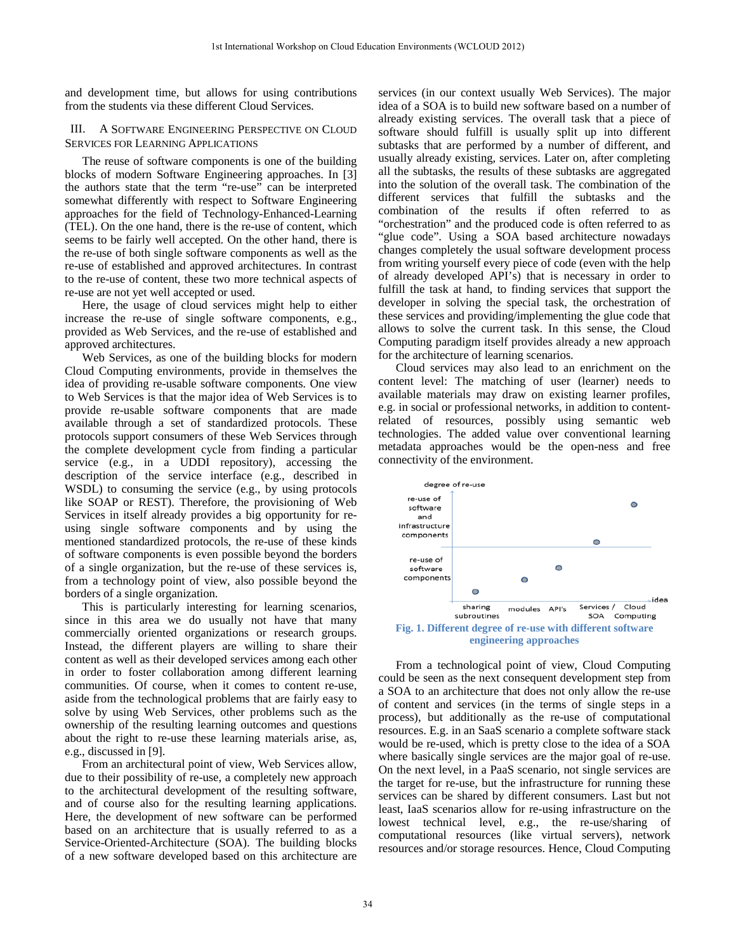and development time, but allows for using contributions from the students via these different Cloud Services.

# III. A SOFTWARE ENGINEERING PERSPECTIVE ON CLOUD SERVICES FOR LEARNING APPLICATIONS

The reuse of software components is one of the building blocks of modern Software Engineering approaches. In [3] the authors state that the term "re-use" can be interpreted somewhat differently with respect to Software Engineering approaches for the field of Technology-Enhanced-Learning (TEL). On the one hand, there is the re-use of content, which seems to be fairly well accepted. On the other hand, there is the re-use of both single software components as well as the re-use of established and approved architectures. In contrast to the re-use of content, these two more technical aspects of re-use are not yet well accepted or used.

Here, the usage of cloud services might help to either increase the re-use of single software components, e.g., provided as Web Services, and the re-use of established and approved architectures.

Web Services, as one of the building blocks for modern Cloud Computing environments, provide in themselves the idea of providing re-usable software components. One view to Web Services is that the major idea of Web Services is to provide re-usable software components that are made available through a set of standardized protocols. These protocols support consumers of these Web Services through the complete development cycle from finding a particular service (e.g., in a UDDI repository), accessing the description of the service interface (e.g., described in WSDL) to consuming the service (e.g., by using protocols like SOAP or REST). Therefore, the provisioning of Web Services in itself already provides a big opportunity for reusing single software components and by using the mentioned standardized protocols, the re-use of these kinds of software components is even possible beyond the borders of a single organization, but the re-use of these services is, from a technology point of view, also possible beyond the borders of a single organization.

This is particularly interesting for learning scenarios, since in this area we do usually not have that many commercially oriented organizations or research groups. Instead, the different players are willing to share their content as well as their developed services among each other in order to foster collaboration among different learning communities. Of course, when it comes to content re-use, aside from the technological problems that are fairly easy to solve by using Web Services, other problems such as the ownership of the resulting learning outcomes and questions about the right to re-use these learning materials arise, as, e.g., discussed in [9].

From an architectural point of view, Web Services allow, due to their possibility of re-use, a completely new approach to the architectural development of the resulting software, and of course also for the resulting learning applications. Here, the development of new software can be performed based on an architecture that is usually referred to as a Service-Oriented-Architecture (SOA). The building blocks of a new software developed based on this architecture are

services (in our context usually Web Services). The major idea of a SOA is to build new software based on a number of already existing services. The overall task that a piece of software should fulfill is usually split up into different subtasks that are performed by a number of different, and usually already existing, services. Later on, after completing all the subtasks, the results of these subtasks are aggregated into the solution of the overall task. The combination of the different services that fulfill the subtasks and the combination of the results if often referred to as "orchestration" and the produced code is often referred to as "glue code". Using a SOA based architecture nowadays changes completely the usual software development process from writing yourself every piece of code (even with the help of already developed API's) that is necessary in order to fulfill the task at hand, to finding services that support the developer in solving the special task, the orchestration of these services and providing/implementing the glue code that allows to solve the current task. In this sense, the Cloud Computing paradigm itself provides already a new approach for the architecture of learning scenarios.

Cloud services may also lead to an enrichment on the content level: The matching of user (learner) needs to available materials may draw on existing learner profiles, e.g. in social or professional networks, in addition to contentrelated of resources, possibly using semantic web technologies. The added value over conventional learning metadata approaches would be the open-ness and free connectivity of the environment.



<span id="page-1-0"></span>From a technological point of view, Cloud Computing could be seen as the next consequent development step from a SOA to an architecture that does not only allow the re-use of content and services (in the terms of single steps in a process), but additionally as the re-use of computational resources. E.g. in an SaaS scenario a complete software stack would be re-used, which is pretty close to the idea of a SOA where basically single services are the major goal of re-use. On the next level, in a PaaS scenario, not single services are the target for re-use, but the infrastructure for running these services can be shared by different consumers. Last but not least, IaaS scenarios allow for re-using infrastructure on the lowest technical level, e.g., the re-use/sharing of computational resources (like virtual servers), network resources and/or storage resources. Hence, Cloud Computing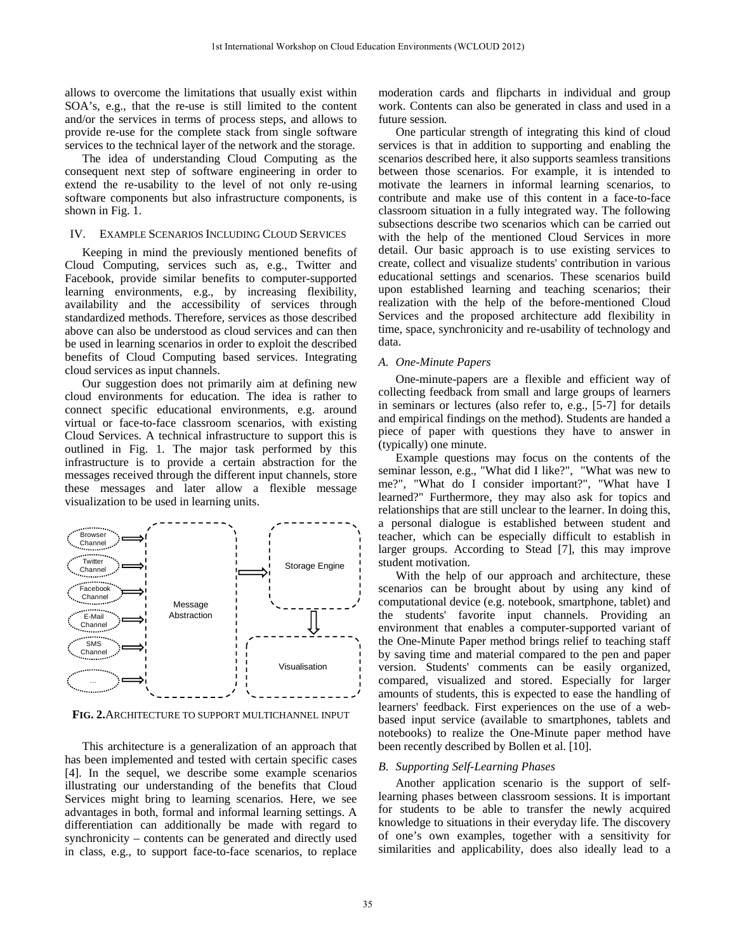allows to overcome the limitations that usually exist within SOA's, e.g., that the re-use is still limited to the content and/or the services in terms of process steps, and allows to provide re-use for the complete stack from single software services to the technical layer of the network and the storage.

The idea of understanding Cloud Computing as the consequent next step of software engineering in order to extend the re-usability to the level of not only re-using software components but also infrastructure components, is shown i[n Fig. 1.](#page-1-0) 

#### IV. EXAMPLE SCENARIOS INCLUDING CLOUD SERVICES

Keeping in mind the previously mentioned benefits of Cloud Computing, services such as, e.g., Twitter and Facebook, provide similar benefits to computer-supported learning environments, e.g., by increasing flexibility, availability and the accessibility of services through standardized methods. Therefore, services as those described above can also be understood as cloud services and can then be used in learning scenarios in order to exploit the described benefits of Cloud Computing based services. Integrating cloud services as input channels.

Our suggestion does not primarily aim at defining new cloud environments for education. The idea is rather to connect specific educational environments, e.g. around virtual or face-to-face classroom scenarios, with existing Cloud Services. A technical infrastructure to support this is outlined in Fig. 1. The major task performed by this infrastructure is to provide a certain abstraction for the messages received through the different input channels, store these messages and later allow a flexible message visualization to be used in learning units.



**FIG. 2.**ARCHITECTURE TO SUPPORT MULTICHANNEL INPUT

This architecture is a generalization of an approach that has been implemented and tested with certain specific cases [4]. In the sequel, we describe some example scenarios illustrating our understanding of the benefits that Cloud Services might bring to learning scenarios. Here, we see advantages in both, formal and informal learning settings. A differentiation can additionally be made with regard to synchronicity – contents can be generated and directly used in class, e.g., to support face-to-face scenarios, to replace

moderation cards and flipcharts in individual and group work. Contents can also be generated in class and used in a future session.

One particular strength of integrating this kind of cloud services is that in addition to supporting and enabling the scenarios described here, it also supports seamless transitions between those scenarios. For example, it is intended to motivate the learners in informal learning scenarios, to contribute and make use of this content in a face-to-face classroom situation in a fully integrated way. The following subsections describe two scenarios which can be carried out with the help of the mentioned Cloud Services in more detail. Our basic approach is to use existing services to create, collect and visualize students' contribution in various educational settings and scenarios. These scenarios build upon established learning and teaching scenarios; their realization with the help of the before-mentioned Cloud Services and the proposed architecture add flexibility in time, space, synchronicity and re-usability of technology and data.

#### *A. One-Minute Papers*

One-minute-papers are a flexible and efficient way of collecting feedback from small and large groups of learners in seminars or lectures (also refer to, e.g., [5-7] for details and empirical findings on the method). Students are handed a piece of paper with questions they have to answer in (typically) one minute.

Example questions may focus on the contents of the seminar lesson, e.g., "What did I like?", "What was new to me?", "What do I consider important?", "What have I learned?" Furthermore, they may also ask for topics and relationships that are still unclear to the learner. In doing this, a personal dialogue is established between student and teacher, which can be especially difficult to establish in larger groups. According to Stead [7], this may improve student motivation.

With the help of our approach and architecture, these scenarios can be brought about by using any kind of computational device (e.g. notebook, smartphone, tablet) and the students' favorite input channels. Providing an environment that enables a computer-supported variant of the One-Minute Paper method brings relief to teaching staff by saving time and material compared to the pen and paper version. Students' comments can be easily organized, compared, visualized and stored. Especially for larger amounts of students, this is expected to ease the handling of learners' feedback. First experiences on the use of a webbased input service (available to smartphones, tablets and notebooks) to realize the One-Minute paper method have been recently described by Bollen et al. [10].

# *B. Supporting Self-Learning Phases*

Another application scenario is the support of selflearning phases between classroom sessions. It is important for students to be able to transfer the newly acquired knowledge to situations in their everyday life. The discovery of one's own examples, together with a sensitivity for similarities and applicability, does also ideally lead to a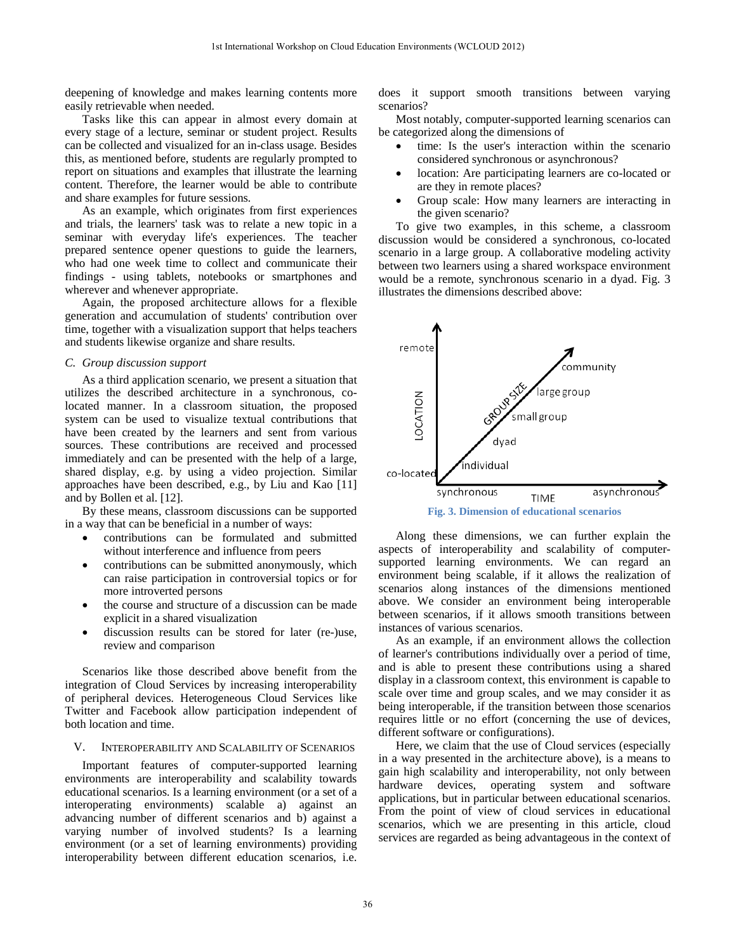deepening of knowledge and makes learning contents more easily retrievable when needed.

Tasks like this can appear in almost every domain at every stage of a lecture, seminar or student project. Results can be collected and visualized for an in-class usage. Besides this, as mentioned before, students are regularly prompted to report on situations and examples that illustrate the learning content. Therefore, the learner would be able to contribute and share examples for future sessions.

As an example, which originates from first experiences and trials, the learners' task was to relate a new topic in a seminar with everyday life's experiences. The teacher prepared sentence opener questions to guide the learners, who had one week time to collect and communicate their findings - using tablets, notebooks or smartphones and wherever and whenever appropriate.

Again, the proposed architecture allows for a flexible generation and accumulation of students' contribution over time, together with a visualization support that helps teachers and students likewise organize and share results.

## *C. Group discussion support*

As a third application scenario, we present a situation that utilizes the described architecture in a synchronous, colocated manner. In a classroom situation, the proposed system can be used to visualize textual contributions that have been created by the learners and sent from various sources. These contributions are received and processed immediately and can be presented with the help of a large, shared display, e.g. by using a video projection. Similar approaches have been described, e.g., by Liu and Kao [11] and by Bollen et al. [12].

By these means, classroom discussions can be supported in a way that can be beneficial in a number of ways:

- contributions can be formulated and submitted without interference and influence from peers
- contributions can be submitted anonymously, which can raise participation in controversial topics or for more introverted persons
- the course and structure of a discussion can be made explicit in a shared visualization
- discussion results can be stored for later (re-)use, review and comparison

Scenarios like those described above benefit from the integration of Cloud Services by increasing interoperability of peripheral devices. Heterogeneous Cloud Services like Twitter and Facebook allow participation independent of both location and time.

# V. INTEROPERABILITY AND SCALABILITY OF SCENARIOS

Important features of computer-supported learning environments are interoperability and scalability towards educational scenarios. Is a learning environment (or a set of a interoperating environments) scalable a) against an advancing number of different scenarios and b) against a varying number of involved students? Is a learning environment (or a set of learning environments) providing interoperability between different education scenarios, i.e.

does it support smooth transitions between varying scenarios?

Most notably, computer-supported learning scenarios can be categorized along the dimensions of

- time: Is the user's interaction within the scenario considered synchronous or asynchronous?
- location: Are participating learners are co-located or are they in remote places?
- Group scale: How many learners are interacting in the given scenario?

To give two examples, in this scheme, a classroom discussion would be considered a synchronous, co-located scenario in a large group. A collaborative modeling activity between two learners using a shared workspace environment would be a remote, synchronous scenario in a dyad. Fig. 3 illustrates the dimensions described above:



Along these dimensions, we can further explain the aspects of interoperability and scalability of computersupported learning environments. We can regard an environment being scalable, if it allows the realization of scenarios along instances of the dimensions mentioned above. We consider an environment being interoperable between scenarios, if it allows smooth transitions between instances of various scenarios.

As an example, if an environment allows the collection of learner's contributions individually over a period of time, and is able to present these contributions using a shared display in a classroom context, this environment is capable to scale over time and group scales, and we may consider it as being interoperable, if the transition between those scenarios requires little or no effort (concerning the use of devices, different software or configurations).

Here, we claim that the use of Cloud services (especially in a way presented in the architecture above), is a means to gain high scalability and interoperability, not only between hardware devices, operating system and software applications, but in particular between educational scenarios. From the point of view of cloud services in educational scenarios, which we are presenting in this article, cloud services are regarded as being advantageous in the context of